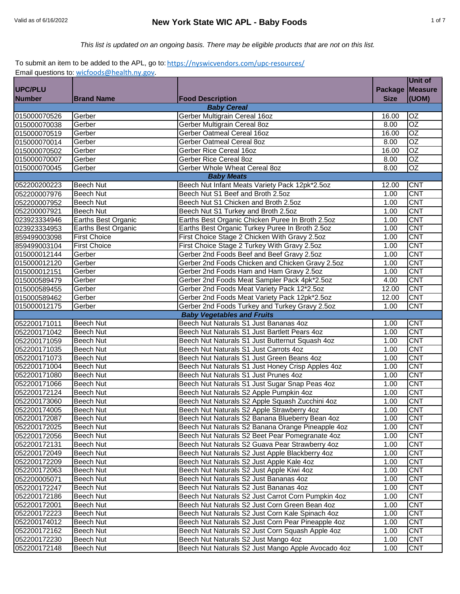*This list is updated on an ongoing basis. There may be eligible products that are not on this list.*

# To submit an item to be added to the APL, go to: https://nyswicvendors.com/upc-resources/

|                              | Email questions to: wicfoods@health.ny.gov. |                                                                                  |                | <b>Unit of</b>           |
|------------------------------|---------------------------------------------|----------------------------------------------------------------------------------|----------------|--------------------------|
| <b>UPC/PLU</b>               |                                             |                                                                                  | <b>Package</b> | <b>Measure</b>           |
| <b>Number</b>                | <b>Brand Name</b>                           | <b>Food Description</b>                                                          | <b>Size</b>    | (UOM)                    |
|                              |                                             | <b>Baby Cereal</b>                                                               |                |                          |
| 015000070526                 | Gerber                                      | Gerber Multigrain Cereal 16oz                                                    | 16.00          | OZ                       |
| 015000070038                 | Gerber                                      | Gerber Multigrain Cereal 8oz                                                     | 8.00           | $\overline{OZ}$          |
| 015000070519                 | Gerber                                      | Gerber Oatmeal Cereal 16oz                                                       | 16.00          | OZ                       |
| 015000070014                 | Gerber                                      | Gerber Oatmeal Cereal 8oz                                                        | 8.00           | $\overline{OZ}$          |
| 015000070502                 | Gerber                                      | Gerber Rice Cereal 16oz                                                          | 16.00          | $\overline{OZ}$          |
| 015000070007                 | Gerber                                      | <b>Gerber Rice Cereal 8oz</b>                                                    | 8.00           | $\overline{OZ}$          |
| 015000070045                 | Gerber                                      | Gerber Whole Wheat Cereal 8oz                                                    | 8.00           | $\overline{OZ}$          |
|                              |                                             | <b>Baby Meats</b>                                                                |                |                          |
| 052200200223                 | <b>Beech Nut</b>                            | Beech Nut Infant Meats Variety Pack 12pk*2.5oz                                   | 12.00          | <b>CNT</b>               |
| 052200007976                 | <b>Beech Nut</b>                            | Beech Nut S1 Beef and Broth 2.5oz                                                | 1.00           | <b>CNT</b>               |
| 052200007952                 | <b>Beech Nut</b>                            | Beech Nut S1 Chicken and Broth 2.5oz                                             | 1.00           | <b>CNT</b>               |
| 052200007921                 | <b>Beech Nut</b>                            | Beech Nut S1 Turkey and Broth 2.5oz                                              | 1.00           | <b>CNT</b>               |
| 023923334946                 | Earths Best Organic                         | Earths Best Organic Chicken Puree In Broth 2.5oz                                 | 1.00           | CNT                      |
| 023923334953                 | Earths Best Organic                         | Earths Best Organic Turkey Puree In Broth 2.5oz                                  | 1.00           | <b>CNT</b>               |
| 859499003098                 | <b>First Choice</b>                         | First Choice Stage 2 Chicken With Gravy 2.5oz                                    | 1.00           | <b>CNT</b>               |
| 859499003104                 | <b>First Choice</b>                         | First Choice Stage 2 Turkey With Gravy 2.5oz                                     | 1.00           | <b>CNT</b>               |
| 015000012144                 | Gerber                                      | Gerber 2nd Foods Beef and Beef Gravy 2.5oz                                       | 1.00           | <b>CNT</b>               |
| 015000012120                 | Gerber                                      | Gerber 2nd Foods Chicken and Chicken Gravy 2.5oz                                 | 1.00           | <b>CNT</b>               |
| 015000012151                 | Gerber                                      | Gerber 2nd Foods Ham and Ham Gravy 2.5oz                                         | 1.00           | <b>CNT</b>               |
| 015000589479                 | Gerber                                      | Gerber 2nd Foods Meat Sampler Pack 4pk*2.5oz                                     | 4.00           | <b>CNT</b>               |
| 015000589455                 | Gerber                                      | Gerber 2nd Foods Meat Variety Pack 12*2.5oz                                      | 12.00          | <b>CNT</b>               |
| 015000589462                 | Gerber                                      | Gerber 2nd Foods Meat Variety Pack 12pk*2.5oz                                    | 12.00          | <b>CNT</b>               |
| 015000012175                 | Gerber                                      | Gerber 2nd Foods Turkey and Turkey Gravy 2.5oz                                   | 1.00           | <b>CNT</b>               |
|                              |                                             | <b>Baby Vegetables and Fruits</b>                                                |                |                          |
| 052200171011                 | Beech Nut                                   | Beech Nut Naturals S1 Just Bananas 4oz                                           | 1.00           | <b>CNT</b>               |
| 052200171042                 | <b>Beech Nut</b>                            | Beech Nut Naturals S1 Just Bartlett Pears 4oz                                    | 1.00           | <b>CNT</b>               |
| 052200171059                 | <b>Beech Nut</b>                            | Beech Nut Naturals S1 Just Butternut Squash 4oz                                  | 1.00           | <b>CNT</b>               |
| 052200171035                 | <b>Beech Nut</b>                            | Beech Nut Naturals S1 Just Carrots 4oz                                           | 1.00           | CNT                      |
| 052200171073                 | <b>Beech Nut</b>                            | Beech Nut Naturals S1 Just Green Beans 4oz                                       | 1.00           | CNT                      |
| 052200171004                 | <b>Beech Nut</b>                            | Beech Nut Naturals S1 Just Honey Crisp Apples 4oz                                | 1.00           | <b>CNT</b>               |
| 052200171080                 | <b>Beech Nut</b>                            | Beech Nut Naturals S1 Just Prunes 4oz                                            | 1.00           | <b>CNT</b>               |
| 052200171066                 | <b>Beech Nut</b>                            | Beech Nut Naturals S1 Just Sugar Snap Peas 4oz                                   | 1.00           | <b>CNT</b>               |
| 052200172124                 | <b>Beech Nut</b>                            | Beech Nut Naturals S2 Apple Pumpkin 4oz                                          | 1.00           | <b>CNT</b>               |
| 052200173060                 | <b>Beech Nut</b>                            | Beech Nut Naturals S2 Apple Squash Zucchini 4oz                                  | 1.00           | <b>CNT</b>               |
| 052200174005                 | <b>Beech Nut</b>                            | Beech Nut Naturals S2 Apple Strawberry 4oz                                       | 1.00           | <b>CNT</b>               |
| 052200172087                 | <b>Beech Nut</b>                            | Beech Nut Naturals S2 Banana Blueberry Bean 4oz                                  | 1.00           | <b>CNT</b>               |
| 052200172025                 | Beech Nut                                   | Beech Nut Naturals S2 Banana Orange Pineapple 4oz                                | 1.00           | <b>CNT</b>               |
| 052200172056                 | Beech Nut                                   | Beech Nut Naturals S2 Beet Pear Pomegranate 4oz                                  | 1.00           | <b>CNT</b>               |
| 052200172131                 | Beech Nut                                   | Beech Nut Naturals S2 Guava Pear Strawberry 4oz                                  | 1.00           | <b>CNT</b>               |
| 052200172049                 | Beech Nut                                   | Beech Nut Naturals S2 Just Apple Blackberry 4oz                                  | 1.00           | <b>CNT</b><br><b>CNT</b> |
| 052200172209                 | Beech Nut                                   | Beech Nut Naturals S2 Just Apple Kale 4oz                                        | 1.00           | <b>CNT</b>               |
| 052200172063                 | Beech Nut                                   | Beech Nut Naturals S2 Just Apple Kiwi 4oz                                        | 1.00           | <b>CNT</b>               |
| 052200005071                 | <b>Beech Nut</b><br>Beech Nut               | Beech Nut Naturals S2 Just Bananas 4oz<br>Beech Nut Naturals S2 Just Bananas 4oz | 1.00<br>1.00   | <b>CNT</b>               |
| 052200172247                 |                                             | Beech Nut Naturals S2 Just Carrot Corn Pumpkin 4oz                               |                | <b>CNT</b>               |
| 052200172186<br>052200172001 | Beech Nut                                   | Beech Nut Naturals S2 Just Corn Green Bean 4oz                                   | 1.00<br>1.00   | <b>CNT</b>               |
| 052200172223                 | <b>Beech Nut</b><br><b>Beech Nut</b>        | Beech Nut Naturals S2 Just Corn Kale Spinach 4oz                                 | 1.00           | <b>CNT</b>               |
| 052200174012                 | <b>Beech Nut</b>                            | Beech Nut Naturals S2 Just Corn Pear Pineapple 4oz                               | 1.00           | <b>CNT</b>               |
| 052200172162                 | Beech Nut                                   | Beech Nut Naturals S2 Just Corn Squash Apple 4oz                                 | 1.00           | <b>CNT</b>               |
| 052200172230                 | Beech Nut                                   | Beech Nut Naturals S2 Just Mango 4oz                                             | 1.00           | <b>CNT</b>               |
| 052200172148                 | Beech Nut                                   | Beech Nut Naturals S2 Just Mango Apple Avocado 4oz                               | 1.00           | <b>CNT</b>               |
|                              |                                             |                                                                                  |                |                          |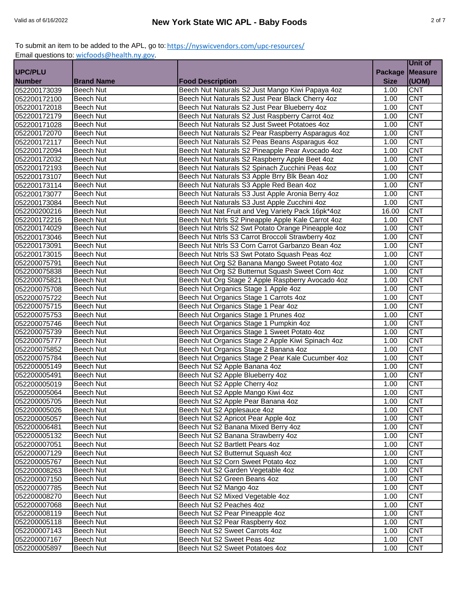|                |                   |                                                    |                | Unit of                 |
|----------------|-------------------|----------------------------------------------------|----------------|-------------------------|
| <b>UPC/PLU</b> |                   |                                                    | <b>Package</b> | <b>Measure</b>          |
| <b>Number</b>  | <b>Brand Name</b> | <b>Food Description</b>                            | <b>Size</b>    | (UOM)                   |
| 052200173039   | Beech Nut         | Beech Nut Naturals S2 Just Mango Kiwi Papaya 4oz   | 1.00           | <b>CNT</b>              |
| 052200172100   | Beech Nut         | Beech Nut Naturals S2 Just Pear Black Cherry 4oz   | 1.00           | <b>CNT</b>              |
| 052200172018   | Beech Nut         | Beech Nut Naturals S2 Just Pear Blueberry 4oz      | 1.00           | <b>CNT</b>              |
| 052200172179   | Beech Nut         | Beech Nut Naturals S2 Just Raspberry Carrot 4oz    | 1.00           | <b>CNT</b>              |
| 052200171028   | Beech Nut         | Beech Nut Naturals S2 Just Sweet Potatoes 4oz      | 1.00           | <b>CNT</b>              |
| 052200172070   | Beech Nut         | Beech Nut Naturals S2 Pear Raspberry Asparagus 4oz | 1.00           | <b>CNT</b>              |
| 052200172117   | Beech Nut         | Beech Nut Naturals S2 Peas Beans Asparagus 4oz     | 1.00           | $\overline{\text{CNT}}$ |
| 052200172094   | Beech Nut         | Beech Nut Naturals S2 Pineapple Pear Avocado 4oz   | 1.00           | $\overline{\text{CNT}}$ |
| 052200172032   | <b>Beech Nut</b>  | Beech Nut Naturals S2 Raspberry Apple Beet 4oz     | 1.00           | <b>CNT</b>              |
| 052200172193   | <b>Beech Nut</b>  | Beech Nut Naturals S2 Spinach Zucchini Peas 4oz    | 1.00           | <b>CNT</b>              |
| 052200173107   | Beech Nut         | Beech Nut Naturals S3 Apple Brry Blk Bean 4oz      | 1.00           | <b>CNT</b>              |
| 052200173114   | <b>Beech Nut</b>  | Beech Nut Naturals S3 Apple Red Bean 4oz           | 1.00           | <b>CNT</b>              |
| 052200173077   | Beech Nut         | Beech Nut Naturals S3 Just Apple Aronia Berry 4oz  | 1.00           | <b>CNT</b>              |
| 052200173084   | Beech Nut         | Beech Nut Naturals S3 Just Apple Zucchini 4oz      | 1.00           | <b>CNT</b>              |
| 052200200216   | <b>Beech Nut</b>  | Beech Nut Nat Fruit and Veg Variety Pack 16pk*4oz  | 16.00          | <b>CNT</b>              |
| 052200172216   | <b>Beech Nut</b>  | Beech Nut Ntrls S2 Pineapple Apple Kale Carrot 4oz | 1.00           | <b>CNT</b>              |
| 052200174029   | <b>Beech Nut</b>  | Beech Nut Ntrls S2 Swt Potato Orange Pineapple 4oz | 1.00           | <b>CNT</b>              |
| 052200173046   | Beech Nut         | Beech Nut Ntrls S3 Carrot Broccoli Strawberry 4oz  | 1.00           | <b>CNT</b>              |
| 052200173091   | Beech Nut         | Beech Nut Ntrls S3 Corn Carrot Garbanzo Bean 4oz   | 1.00           | <b>CNT</b>              |
| 052200173015   | <b>Beech Nut</b>  | Beech Nut Ntrls S3 Swt Potato Squash Peas 4oz      | 1.00           | CNT                     |
| 052200075791   | <b>Beech Nut</b>  | Beech Nut Org S2 Banana Mango Sweet Potato 4oz     | 1.00           | <b>CNT</b>              |
| 052200075838   | <b>Beech Nut</b>  | Beech Nut Org S2 Butternut Squash Sweet Corn 4oz   | 1.00           | <b>CNT</b>              |
| 052200075821   | <b>Beech Nut</b>  | Beech Nut Org Stage 2 Apple Raspberry Avocado 4oz  | 1.00           | <b>CNT</b>              |
| 052200075708   | <b>Beech Nut</b>  | Beech Nut Organics Stage 1 Apple 4oz               | 1.00           | <b>CNT</b>              |
| 052200075722   | Beech Nut         | Beech Nut Organics Stage 1 Carrots 4oz             | 1.00           | <b>CNT</b>              |
| 052200075715   | <b>Beech Nut</b>  | Beech Nut Organics Stage 1 Pear 4oz                | 1.00           | <b>CNT</b>              |
| 052200075753   | <b>Beech Nut</b>  | Beech Nut Organics Stage 1 Prunes 4oz              | 1.00           | <b>CNT</b>              |
| 052200075746   | <b>Beech Nut</b>  | Beech Nut Organics Stage 1 Pumpkin 4oz             | 1.00           | $\overline{\text{CNT}}$ |
| 052200075739   | Beech Nut         | Beech Nut Organics Stage 1 Sweet Potato 4oz        | 1.00           | <b>CNT</b>              |
| 052200075777   | Beech Nut         | Beech Nut Organics Stage 2 Apple Kiwi Spinach 4oz  | 1.00           | <b>CNT</b>              |
| 052200075852   | Beech Nut         | Beech Nut Organics Stage 2 Banana 4oz              | 1.00           | <b>CNT</b>              |
| 052200075784   | Beech Nut         | Beech Nut Organics Stage 2 Pear Kale Cucumber 4oz  | 1.00           | CNT                     |
| 052200005149   | Beech Nut         | Beech Nut S2 Apple Banana 4oz                      | 1.00           | $\overline{\text{CNT}}$ |
| 052200005491   | <b>Beech Nut</b>  | Beech Nut S2 Apple Blueberry 4oz                   | 1.00           | <b>CNT</b>              |
| 052200005019   | Beech Nut         | Beech Nut S2 Apple Cherry 4oz                      | 1.00           | $\overline{\text{CNT}}$ |
| 052200005064   | Beech Nut         | Beech Nut S2 Apple Mango Kiwi 4oz                  | 1.00           | <b>CNT</b>              |
| 052200005705   | Beech Nut         | Beech Nut S2 Apple Pear Banana 4oz                 | 1.00           | <b>CNT</b>              |
| 052200005026   | Beech Nut         | Beech Nut S2 Applesauce 4oz                        | 1.00           | <b>CNT</b>              |
| 052200005057   | Beech Nut         | Beech Nut S2 Apricot Pear Apple 4oz                | 1.00           | <b>CNT</b>              |
| 052200006481   | Beech Nut         | Beech Nut S2 Banana Mixed Berry 4oz                | 1.00           | <b>CNT</b>              |
| 052200005132   | Beech Nut         | Beech Nut S2 Banana Strawberry 4oz                 | 1.00           | <b>CNT</b>              |
| 052200007051   | Beech Nut         | Beech Nut S2 Bartlett Pears 4oz                    | 1.00           | <b>CNT</b>              |
| 052200007129   | Beech Nut         | Beech Nut S2 Butternut Squash 4oz                  | 1.00           | <b>CNT</b>              |
| 052200005767   | Beech Nut         | Beech Nut S2 Corn Sweet Potato 4oz                 | 1.00           | <b>CNT</b>              |
| 052200008263   | Beech Nut         | Beech Nut S2 Garden Vegetable 4oz                  | 1.00           | <b>CNT</b>              |
| 052200007150   | Beech Nut         | Beech Nut S2 Green Beans 4oz                       | 1.00           | <b>CNT</b>              |
| 052200007785   | Beech Nut         | Beech Nut S2 Mango 4oz                             | 1.00           | CNT                     |
| 052200008270   | Beech Nut         | Beech Nut S2 Mixed Vegetable 4oz                   | 1.00           | <b>CNT</b>              |
| 052200007068   | Beech Nut         | Beech Nut S2 Peaches 4oz                           | 1.00           | <b>CNT</b>              |
| 052200008119   | Beech Nut         | Beech Nut S2 Pear Pineapple 4oz                    | 1.00           | <b>CNT</b>              |
| 052200005118   | Beech Nut         | Beech Nut S2 Pear Raspberry 4oz                    | 1.00           | <b>CNT</b>              |
| 052200007143   | Beech Nut         | Beech Nut S2 Sweet Carrots 4oz                     | 1.00           | <b>CNT</b>              |
| 052200007167   | Beech Nut         | Beech Nut S2 Sweet Peas 4oz                        | 1.00           | <b>CNT</b>              |
| 052200005897   | Beech Nut         | Beech Nut S2 Sweet Potatoes 4oz                    | 1.00           | <b>CNT</b>              |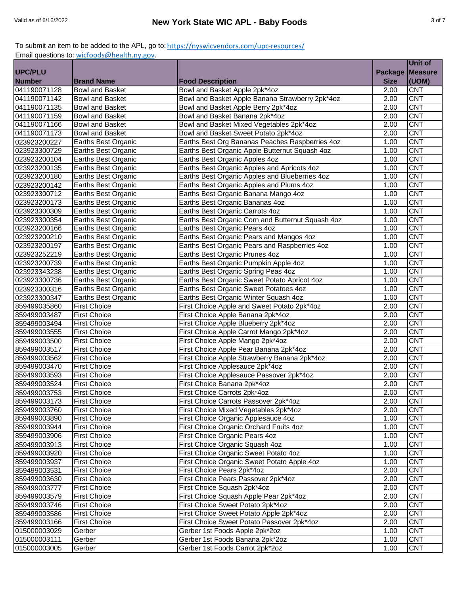|                              |                            |                                                                   |                | <b>Unit of</b>           |
|------------------------------|----------------------------|-------------------------------------------------------------------|----------------|--------------------------|
| <b>UPC/PLU</b>               |                            |                                                                   | <b>Package</b> | <b>Measure</b>           |
| <b>Number</b>                | <b>Brand Name</b>          | <b>Food Description</b>                                           | <b>Size</b>    | (UOM)                    |
| 041190071128                 | <b>Bowl and Basket</b>     | Bowl and Basket Apple 2pk*4oz                                     | 2.00           | <b>CNT</b>               |
| 041190071142                 | <b>Bowl and Basket</b>     | Bowl and Basket Apple Banana Strawberry 2pk*4oz                   | 2.00           | <b>CNT</b>               |
| 041190071135                 | <b>Bowl and Basket</b>     | Bowl and Basket Apple Berry 2pk*4oz                               | 2.00           | <b>CNT</b>               |
| 041190071159                 | <b>Bowl and Basket</b>     | Bowl and Basket Banana 2pk*4oz                                    | 2.00           | <b>CNT</b>               |
| 041190071166                 | <b>Bowl and Basket</b>     | Bowl and Basket Mixed Vegetables 2pk*4oz                          | 2.00           | <b>CNT</b>               |
| 041190071173                 | <b>Bowl and Basket</b>     | Bowl and Basket Sweet Potato 2pk*4oz                              | 2.00           | <b>CNT</b>               |
| 023923200227                 | Earths Best Organic        | Earths Best Org Bananas Peaches Raspberries 4oz                   | 1.00           | <b>CNT</b>               |
| 023923300729                 | Earths Best Organic        | Earths Best Organic Apple Butternut Squash 4oz                    | 1.00           | <b>CNT</b>               |
| 023923200104                 | Earths Best Organic        | Earths Best Organic Apples 4oz                                    | 1.00           | <b>CNT</b>               |
| 023923200135                 | Earths Best Organic        | Earths Best Organic Apples and Apricots 4oz                       | 1.00           | <b>CNT</b>               |
| 023923200180                 | Earths Best Organic        | Earths Best Organic Apples and Blueberries 4oz                    | 1.00           | <b>CNT</b>               |
| 023923200142                 | Earths Best Organic        | Earths Best Organic Apples and Plums 4oz                          | 1.00           | <b>CNT</b>               |
| 023923300712                 | Earths Best Organic        | Earths Best Organic Banana Mango 4oz                              | 1.00           | <b>CNT</b>               |
| 023923200173                 | Earths Best Organic        | Earths Best Organic Bananas 4oz                                   | 1.00           | <b>CNT</b>               |
| 023923300309                 | Earths Best Organic        | Earths Best Organic Carrots 4oz                                   | 1.00           | <b>CNT</b>               |
| 023923300354                 | Earths Best Organic        | Earths Best Organic Corn and Butternut Squash 4oz                 | 1.00           | <b>CNT</b>               |
| 023923200166                 | Earths Best Organic        | Earths Best Organic Pears 4oz                                     | 1.00           | <b>CNT</b>               |
| 023923200210                 | <b>Earths Best Organic</b> | Earths Best Organic Pears and Mangos 4oz                          | 1.00           | <b>CNT</b>               |
| 023923200197                 | <b>Earths Best Organic</b> | Earths Best Organic Pears and Raspberries 4oz                     | 1.00           | <b>CNT</b>               |
| 023923252219                 | Earths Best Organic        | Earths Best Organic Prunes 4oz                                    | 1.00           | <b>CNT</b>               |
| 023923200739                 | Earths Best Organic        | Earths Best Organic Pumpkin Apple 4oz                             | 1.00           | <b>CNT</b>               |
| 023923343238                 | Earths Best Organic        | Earths Best Organic Spring Peas 4oz                               | 1.00           | <b>CNT</b>               |
| 023923300736                 | Earths Best Organic        | Earths Best Organic Sweet Potato Apricot 4oz                      | 1.00           | <b>CNT</b>               |
| 023923300316                 | Earths Best Organic        | Earths Best Organic Sweet Potatoes 4oz                            | 1.00           | <b>CNT</b>               |
| 023923300347                 | <b>Earths Best Organic</b> | Earths Best Organic Winter Squash 4oz                             | 1.00           | <b>CNT</b>               |
| 859499035860                 | <b>First Choice</b>        | First Choice Apple and Sweet Potato 2pk*4oz                       | 2.00           | <b>CNT</b>               |
| 859499003487                 | First Choice               | First Choice Apple Banana 2pk*4oz                                 | 2.00           | <b>CNT</b>               |
| 859499003494                 | <b>First Choice</b>        | First Choice Apple Blueberry 2pk*4oz                              | 2.00           | <b>CNT</b>               |
| 859499003555                 | <b>First Choice</b>        | First Choice Apple Carrot Mango 2pk*4oz                           | 2.00           | <b>CNT</b>               |
| 859499003500                 | <b>First Choice</b>        | First Choice Apple Mango 2pk*4oz                                  | 2.00           | <b>CNT</b>               |
| 859499003517                 | <b>First Choice</b>        | First Choice Apple Pear Banana 2pk*4oz                            | 2.00           | <b>CNT</b>               |
| 859499003562                 | <b>First Choice</b>        | First Choice Apple Strawberry Banana 2pk*4oz                      | 2.00           | <b>CNT</b>               |
| 859499003470                 | <b>First Choice</b>        | First Choice Applesauce 2pk*4oz                                   | 2.00           | <b>CNT</b>               |
| 859499003593                 | <b>First Choice</b>        | First Choice Applesauce Passover 2pk*4oz                          | 2.00           | <b>CNT</b>               |
| 859499003524                 | <b>First Choice</b>        | First Choice Banana 2pk*4oz                                       | 2.00           | <b>CNT</b>               |
| 859499003753                 | <b>First Choice</b>        | First Choice Carrots 2pk*4oz                                      | 2.00           | <b>CNT</b>               |
| 859499003173                 | <b>First Choice</b>        | First Choice Carrots Passover 2pk*4oz                             | 2.00           | <b>CNT</b>               |
| 859499003760                 | <b>First Choice</b>        | First Choice Mixed Vegetables 2pk*4oz                             | 2.00           | <b>CNT</b>               |
| 859499003890                 | <b>First Choice</b>        | First Choice Organic Applesauce 4oz                               | 1.00           | <b>CNT</b>               |
| 859499003944                 | <b>First Choice</b>        | First Choice Organic Orchard Fruits 4oz                           | 1.00           | <b>CNT</b>               |
| 859499003906                 | <b>First Choice</b>        | First Choice Organic Pears 4oz                                    | 1.00           | <b>CNT</b>               |
| 859499003913                 | <b>First Choice</b>        | First Choice Organic Squash 4oz                                   | 1.00           | <b>CNT</b>               |
| 859499003920                 | <b>First Choice</b>        | First Choice Organic Sweet Potato 4oz                             | 1.00           | <b>CNT</b>               |
| 859499003937                 | <b>First Choice</b>        | First Choice Organic Sweet Potato Apple 4oz                       | 1.00           | <b>CNT</b>               |
| 859499003531                 | <b>First Choice</b>        | First Choice Pears 2pk*4oz                                        | 2.00           | <b>CNT</b>               |
| 859499003630                 | <b>First Choice</b>        | First Choice Pears Passover 2pk*4oz                               | 2.00           | <b>CNT</b>               |
| 859499003777                 | <b>First Choice</b>        | First Choice Squash 2pk*4oz                                       | 2.00           | <b>CNT</b>               |
| 859499003579                 | <b>First Choice</b>        | First Choice Squash Apple Pear 2pk*4oz                            | 2.00           | <b>CNT</b>               |
| 859499003746                 | <b>First Choice</b>        | First Choice Sweet Potato 2pk*4oz                                 | 2.00           | <b>CNT</b>               |
| 859499003586                 | <b>First Choice</b>        | First Choice Sweet Potato Apple 2pk*4oz                           | 2.00           | <b>CNT</b>               |
| 859499003166                 | <b>First Choice</b>        | First Choice Sweet Potato Passover 2pk*4oz                        | 2.00           | <b>CNT</b><br><b>CNT</b> |
| 015000003029                 | Gerber                     | Gerber 1st Foods Apple 2pk*2oz<br>Gerber 1st Foods Banana 2pk*2oz | 1.00           | <b>CNT</b>               |
| 015000003111<br>015000003005 | Gerber<br>Gerber           | Gerber 1st Foods Carrot 2pk*2oz                                   | 1.00<br>1.00   | <b>CNT</b>               |
|                              |                            |                                                                   |                |                          |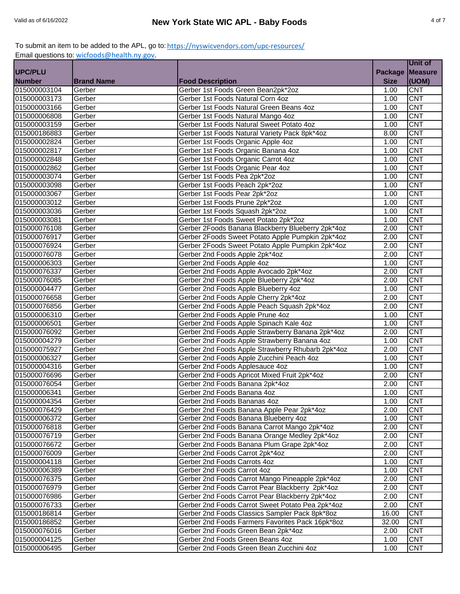|                |                   |                                                   |                | Unit of        |
|----------------|-------------------|---------------------------------------------------|----------------|----------------|
| <b>UPC/PLU</b> |                   |                                                   | <b>Package</b> | <b>Measure</b> |
| <b>Number</b>  | <b>Brand Name</b> | <b>Food Description</b>                           | <b>Size</b>    | (UOM)          |
| 015000003104   | Gerber            | Gerber 1st Foods Green Bean2pk*2oz                | 1.00           | <b>CNT</b>     |
| 015000003173   | Gerber            | Gerber 1st Foods Natural Corn 4oz                 | 1.00           | <b>CNT</b>     |
| 015000003166   | Gerber            | Gerber 1st Foods Natural Green Beans 4oz          | 1.00           | <b>CNT</b>     |
| 015000006808   | Gerber            | Gerber 1st Foods Natural Mango 4oz                | 1.00           | CNT            |
| 015000003159   | Gerber            | Gerber 1st Foods Natural Sweet Potato 4oz         | 1.00           | <b>CNT</b>     |
| 015000186883   | Gerber            | Gerber 1st Foods Natural Variety Pack 8pk*4oz     | 8.00           | <b>CNT</b>     |
| 015000002824   | Gerber            | Gerber 1st Foods Organic Apple 4oz                | 1.00           | <b>CNT</b>     |
| 015000002817   | Gerber            | Gerber 1st Foods Organic Banana 4oz               | 1.00           | <b>CNT</b>     |
| 015000002848   | Gerber            | Gerber 1st Foods Organic Carrot 4oz               | 1.00           | <b>CNT</b>     |
| 015000002862   | Gerber            | Gerber 1st Foods Organic Pear 4oz                 | 1.00           | <b>CNT</b>     |
| 015000003074   | Gerber            | Gerber 1st Foods Pea 2pk*2oz                      | 1.00           | <b>CNT</b>     |
| 015000003098   | Gerber            | Gerber 1st Foods Peach 2pk*2oz                    | 1.00           | <b>CNT</b>     |
| 015000003067   | Gerber            | Gerber 1st Foods Pear 2pk*2oz                     | 1.00           | <b>CNT</b>     |
| 015000003012   | Gerber            | Gerber 1st Foods Prune 2pk*2oz                    | 1.00           | <b>CNT</b>     |
| 015000003036   | Gerber            | Gerber 1st Foods Squash 2pk*2oz                   | 1.00           | <b>CNT</b>     |
| 015000003081   | Gerber            | Gerber 1st Foods Sweet Potato 2pk*2oz             | 1.00           | <b>CNT</b>     |
| 015000076108   | Gerber            | Gerber 2Foods Banana Blackberry Blueberry 2pk*4oz | 2.00           | <b>CNT</b>     |
| 015000076917   | Gerber            | Gerber 2Foods Sweet Potato Apple Pumpkin 2pk*4oz  | 2.00           | <b>CNT</b>     |
| 015000076924   | Gerber            | Gerber 2Foods Sweet Potato Apple Pumpkin 2pk*4oz  | 2.00           | <b>CNT</b>     |
| 015000076078   | Gerber            | Gerber 2nd Foods Apple 2pk*4oz                    | 2.00           | <b>CNT</b>     |
| 015000006303   | Gerber            | Gerber 2nd Foods Apple 4oz                        | 1.00           | <b>CNT</b>     |
| 015000076337   | Gerber            | Gerber 2nd Foods Apple Avocado 2pk*4oz            | 2.00           | <b>CNT</b>     |
| 015000076085   | Gerber            | Gerber 2nd Foods Apple Blueberry 2pk*4oz          | 2.00           | <b>CNT</b>     |
| 015000004477   | Gerber            | Gerber 2nd Foods Apple Blueberry 4oz              | 1.00           | <b>CNT</b>     |
| 015000076658   | Gerber            | Gerber 2nd Foods Apple Cherry 2pk*4oz             | 2.00           | <b>CNT</b>     |
| 015000076856   | Gerber            | Gerber 2nd Foods Apple Peach Squash 2pk*4oz       | 2.00           | <b>CNT</b>     |
| 015000006310   | Gerber            | Gerber 2nd Foods Apple Prune 4oz                  | 1.00           | <b>CNT</b>     |
| 015000006501   | Gerber            | Gerber 2nd Foods Apple Spinach Kale 4oz           | 1.00           | <b>CNT</b>     |
| 015000076092   | Gerber            | Gerber 2nd Foods Apple Strawberry Banana 2pk*4oz  | 2.00           | <b>CNT</b>     |
| 015000004279   | Gerber            | Gerber 2nd Foods Apple Strawberry Banana 4oz      | 1.00           | <b>CNT</b>     |
| 015000075927   | Gerber            | Gerber 2nd Foods Apple Strawberry Rhubarb 2pk*4oz | 2.00           | <b>CNT</b>     |
| 015000006327   | Gerber            | Gerber 2nd Foods Apple Zucchini Peach 4oz         | 1.00           | <b>CNT</b>     |
| 015000004316   | Gerber            | Gerber 2nd Foods Applesauce 4oz                   | 1.00           | CNT            |
| 015000076696   | Gerber            | Gerber 2nd Foods Apricot Mixed Fruit 2pk*4oz      | 2.00           | <b>CNT</b>     |
| 015000076054   | Gerber            | Gerber 2nd Foods Banana 2pk*4oz                   | 2.00           | <b>CNT</b>     |
| 015000006341   | Gerber            | Gerber 2nd Foods Banana 4oz                       | 1.00           | <b>CNT</b>     |
| 015000004354   | Gerber            | Gerber 2nd Foods Bananas 4oz                      | 1.00           | <b>CNT</b>     |
| 015000076429   | Gerber            | Gerber 2nd Foods Banana Apple Pear 2pk*4oz        | 2.00           | <b>CNT</b>     |
| 015000006372   | Gerber            | Gerber 2nd Foods Banana Blueberry 4oz             | 1.00           | <b>CNT</b>     |
| 015000076818   | Gerber            | Gerber 2nd Foods Banana Carrot Mango 2pk*4oz      | 2.00           | <b>CNT</b>     |
| 015000076719   | Gerber            | Gerber 2nd Foods Banana Orange Medley 2pk*4oz     | 2.00           | <b>CNT</b>     |
| 015000076672   | Gerber            | Gerber 2nd Foods Banana Plum Grape 2pk*4oz        | 2.00           | <b>CNT</b>     |
| 015000076009   | Gerber            | Gerber 2nd Foods Carrot 2pk*4oz                   | 2.00           | <b>CNT</b>     |
| 015000004118   | Gerber            | Gerber 2nd Foods Carrots 4oz                      | 1.00           | <b>CNT</b>     |
| 015000006389   | Gerber            | Gerber 2nd Foods Carrot 4oz                       | 1.00           | <b>CNT</b>     |
| 015000076375   | Gerber            | Gerber 2nd Foods Carrot Mango Pineapple 2pk*4oz   | 2.00           | <b>CNT</b>     |
| 015000076979   | Gerber            | Gerber 2nd Foods Carrot Pear Blackberry 2pk*4oz   | 2.00           | <b>CNT</b>     |
| 015000076986   | Gerber            | Gerber 2nd Foods Carrot Pear Blackberry 2pk*4oz   | 2.00           | <b>CNT</b>     |
| 015000076733   | Gerber            | Gerber 2nd Foods Carrot Sweet Potato Pea 2pk*4oz  | 2.00           | <b>CNT</b>     |
| 015000186814   | Gerber            | Gerber 2nd Foods Classics Sampler Pack 8pk*8oz    | 16.00          | <b>CNT</b>     |
| 015000186852   | Gerber            | Gerber 2nd Foods Farmers Favorites Pack 16pk*8oz  | 32.00          | <b>CNT</b>     |
| 015000076016   | Gerber            | Gerber 2nd Foods Green Bean 2pk*4oz               | 2.00           | <b>CNT</b>     |
| 015000004125   | Gerber            | Gerber 2nd Foods Green Beans 4oz                  | 1.00           | <b>CNT</b>     |
| 015000006495   | Gerber            | Gerber 2nd Foods Green Bean Zucchini 4oz          | 1.00           | <b>CNT</b>     |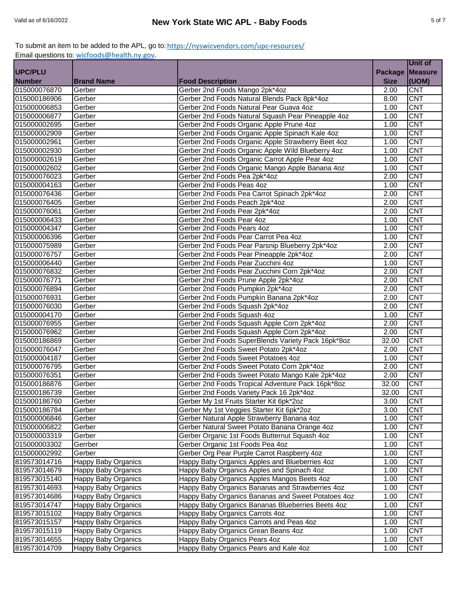|                |                            |                                                    |                | Unit of          |
|----------------|----------------------------|----------------------------------------------------|----------------|------------------|
| <b>UPC/PLU</b> |                            |                                                    | <b>Package</b> | <b>Measure</b>   |
| <b>Number</b>  | <b>Brand Name</b>          | <b>Food Description</b>                            | <b>Size</b>    | (UOM)            |
| 015000076870   | Gerber                     | Gerber 2nd Foods Mango 2pk*4oz                     | 2.00           | <b>CNT</b>       |
| 015000186906   | Gerber                     | Gerber 2nd Foods Natural Blends Pack 8pk*4oz       | 8.00           | <b>CNT</b>       |
| 015000006853   | Gerber                     | Gerber 2nd Foods Natural Pear Guava 4oz            | 1.00           | <b>CNT</b>       |
| 015000006877   | Gerber                     | Gerber 2nd Foods Natural Squash Pear Pineapple 4oz | 1.00           | <b>CNT</b>       |
| 015000002695   | Gerber                     | Gerber 2nd Foods Organic Apple Prune 4oz           | 1.00           | <b>CNT</b>       |
| 015000002909   | Gerber                     | Gerber 2nd Foods Organic Apple Spinach Kale 4oz    | 1.00           | <b>CNT</b>       |
| 015000002961   | Gerber                     | Gerber 2nd Foods Organic Apple Strawberry Beet 4oz | 1.00           | <b>CNT</b>       |
| 015000002930   | Gerber                     | Gerber 2nd Foods Organic Apple Wild Blueberry 4oz  | 1.00           | CNT              |
| 015000002619   | Gerber                     | Gerber 2nd Foods Organic Carrot Apple Pear 4oz     | 1.00           | <b>CNT</b>       |
| 015000002602   | Gerber                     | Gerber 2nd Foods Organic Mango Apple Banana 4oz    | 1.00           | <b>CNT</b>       |
| 015000076023   | Gerber                     | Gerber 2nd Foods Pea 2pk*4oz                       | 2.00           | <b>CNT</b>       |
| 015000004163   | Gerber                     | Gerber 2nd Foods Peas 4oz                          | 1.00           | <b>CNT</b>       |
| 015000076436   | Gerber                     | Gerber 2nd Foods Pea Carrot Spinach 2pk*4oz        | 2.00           | <b>CNT</b>       |
| 015000076405   | Gerber                     | Gerber 2nd Foods Peach 2pk*4oz                     | 2.00           | <b>CNT</b>       |
| 015000076061   | Gerber                     | Gerber 2nd Foods Pear 2pk*4oz                      | 2.00           | <b>CNT</b>       |
| 015000006433   | Gerber                     | Gerber 2nd Foods Pear 4oz                          | 1.00           | <b>CNT</b>       |
| 015000004347   | Gerber                     | Gerber 2nd Foods Pears 4oz                         | 1.00           | <b>CNT</b>       |
| 015000006396   | Gerber                     | Gerber 2nd Foods Pear Carrot Pea 4oz               | 1.00           | <b>CNT</b>       |
| 015000075989   | Gerber                     | Gerber 2nd Foods Pear Parsnip Blueberry 2pk*4oz    | 2.00           | <b>CNT</b>       |
| 015000076757   | Gerber                     | Gerber 2nd Foods Pear Pineapple 2pk*4oz            | 2.00           | <b>CNT</b>       |
| 015000006440   | Gerber                     | Gerber 2nd Foods Pear Zucchini 4oz                 | 1.00           | <b>CNT</b>       |
| 015000076832   | Gerber                     | Gerber 2nd Foods Pear Zucchini Corn 2pk*4oz        | 2.00           | <b>CNT</b>       |
| 015000076771   | Gerber                     | Gerber 2nd Foods Prune Apple 2pk*4oz               | 2.00           | <b>CNT</b>       |
| 015000076894   | Gerber                     | Gerber 2nd Foods Pumpkin 2pk*4oz                   | 2.00           | <b>CNT</b>       |
| 015000076931   | Gerber                     | Gerber 2nd Foods Pumpkin Banana 2pk*4oz            | 2.00           | <b>CNT</b>       |
| 015000076030   | Gerber                     | Gerber 2nd Foods Squash 2pk*4oz                    | 2.00           | <b>CNT</b>       |
| 015000004170   | Gerber                     | Gerber 2nd Foods Squash 4oz                        | 1.00           | <b>CNT</b>       |
| 015000076955   | Gerber                     | Gerber 2nd Foods Squash Apple Corn 2pk*4oz         | 2.00           | $\overline{CNT}$ |
| 015000076962   | Gerber                     | Gerber 2nd Foods Squash Apple Corn 2pk*4oz         | 2.00           | <b>CNT</b>       |
| 015000186869   | Gerber                     | Gerber 2nd Foods SuperBlends Variety Pack 16pk*8oz | 32.00          | <b>CNT</b>       |
| 015000076047   | Gerber                     | Gerber 2nd Foods Sweet Potato 2pk*4oz              | 2.00           | <b>CNT</b>       |
| 015000004187   | Gerber                     | Gerber 2nd Foods Sweet Potatoes 4oz                | 1.00           | <b>CNT</b>       |
| 015000076795   | Gerber                     | Gerber 2nd Foods Sweet Potato Corn 2pk*4oz         | 2.00           | <b>CNT</b>       |
| 015000076351   | Gerber                     | Gerber 2nd Foods Sweet Potato Mango Kale 2pk*4oz   | 2.00           | <b>CNT</b>       |
| 015000186876   | Gerber                     | Gerber 2nd Foods Tropical Adventure Pack 16pk*8oz  | 32.00          | <b>CNT</b>       |
| 015000186739   | Gerber                     | Gerber 2nd Foods Variety Pack 16 2pk*4oz           | 32.00          | <b>CNT</b>       |
| 015000186760   | Gerber                     | Gerber My 1st Fruits Starter Kit 6pk*2oz           | 3.00           | <b>CNT</b>       |
| 015000186784   | Gerber                     | Gerber My 1st Veggies Starter Kit 6pk*2oz          | 3.00           | <b>CNT</b>       |
| 015000006846   | Gerber                     | Gerber Natural Apple Strawberry Banana 4oz         | 1.00           | <b>CNT</b>       |
| 015000006822   | Gerber                     | Gerber Natural Sweet Potato Banana Orange 4oz      | 1.00           | <b>CNT</b>       |
| 015000003319   | Gerber                     | Gerber Organic 1st Foods Butternut Squash 4oz      | 1.00           | <b>CNT</b>       |
| 015000003302   | Gerrber                    | Gerber Organic 1st Foods Pea 4oz                   | 1.00           | <b>CNT</b>       |
| 015000002992   | Gerber                     | Gerber Org Pear Purple Carrot Raspberry 4oz        | 1.00           | <b>CNT</b>       |
| 819573014716   | Happy Baby Organics        | Happy Baby Organics Apples and Blueberries 4oz     | 1.00           | <b>CNT</b>       |
| 819573014679   | Happy Baby Organics        | Happy Baby Organics Apples and Spinach 4oz         | 1.00           | <b>CNT</b>       |
| 819573015140   | <b>Happy Baby Organics</b> | Happy Baby Organics Apples Mangos Beets 4oz        | 1.00           | <b>CNT</b>       |
| 819573014693   | Happy Baby Organics        | Happy Baby Organics Bananas and Strawberries 4oz   | 1.00           | <b>CNT</b>       |
| 819573014686   | Happy Baby Organics        | Happy Baby Organics Bananas and Sweet Potatoes 4oz | 1.00           | <b>CNT</b>       |
| 819573014747   | Happy Baby Organics        | Happy Baby Organics Bananas Blueberries Beets 4oz  | 1.00           | <b>CNT</b>       |
| 819573015102   | Happy Baby Organics        | Happy Baby Organics Carrots 4oz                    | 1.00           | <b>CNT</b>       |
| 819573015157   | Happy Baby Organics        | Happy Baby Organics Carrots and Peas 4oz           | 1.00           | <b>CNT</b>       |
| 819573015119   | Happy Baby Organics        | Happy Baby Organics Grean Beans 4oz                | 1.00           | <b>CNT</b>       |
| 819573014655   | Happy Baby Organics        | Happy Baby Organics Pears 4oz                      | 1.00           | <b>CNT</b>       |
| 819573014709   | <b>Happy Baby Organics</b> | Happy Baby Organics Pears and Kale 4oz             | 1.00           | <b>CNT</b>       |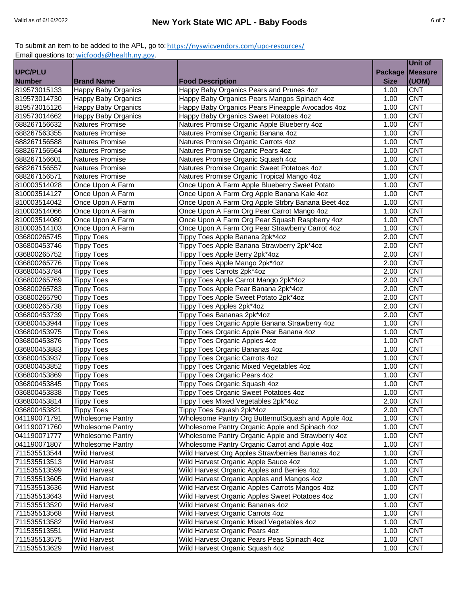|                |                            |                                                    |                | Unit of        |
|----------------|----------------------------|----------------------------------------------------|----------------|----------------|
| <b>UPC/PLU</b> |                            |                                                    | <b>Package</b> | <b>Measure</b> |
| <b>Number</b>  | <b>Brand Name</b>          | <b>Food Description</b>                            | <b>Size</b>    | (UOM)          |
| 819573015133   | Happy Baby Organics        | Happy Baby Organics Pears and Prunes 4oz           | 1.00           | <b>CNT</b>     |
| 819573014730   | <b>Happy Baby Organics</b> | Happy Baby Organics Pears Mangos Spinach 4oz       | 1.00           | <b>CNT</b>     |
| 819573015126   | Happy Baby Organics        | Happy Baby Organics Pears Pineapple Avocados 4oz   | 1.00           | <b>CNT</b>     |
| 819573014662   | Happy Baby Organics        | Happy Baby Organics Sweet Potatoes 4oz             | 1.00           | <b>CNT</b>     |
| 688267156632   | Natures Promise            | Natures Promise Organic Apple Blueberry 4oz        | 1.00           | <b>CNT</b>     |
| 688267563355   | <b>Natures Promise</b>     | Natures Promise Organic Banana 4oz                 | 1.00           | <b>CNT</b>     |
| 688267156588   | <b>Natures Promise</b>     | Natures Promise Organic Carrots 4oz                | 1.00           | CNT            |
| 688267156564   | <b>Natures Promise</b>     | Natures Promise Organic Pears 4oz                  | 1.00           | CNT            |
| 688267156601   | Natures Promise            | Natures Promise Organic Squash 4oz                 | 1.00           | <b>CNT</b>     |
| 688267156557   | <b>Natures Promise</b>     | Natures Promise Organic Sweet Potatoes 4oz         | 1.00           | <b>CNT</b>     |
| 688267156571   | <b>Natures Promise</b>     | Natures Promise Organic Tropical Mango 4oz         | 1.00           | <b>CNT</b>     |
| 810003514028   | Once Upon A Farm           | Once Upon A Farm Apple Blueberry Sweet Potato      | 1.00           | <b>CNT</b>     |
| 810003514127   | Once Upon A Farm           | Once Upon A Farm Org Apple Banana Kale 4oz         | 1.00           | <b>CNT</b>     |
| 810003514042   | Once Upon A Farm           | Once Upon A Farm Org Apple Strbry Banana Beet 4oz  | 1.00           | <b>CNT</b>     |
| 810003514066   | Once Upon A Farm           | Once Upon A Farm Org Pear Carrot Mango 4oz         | 1.00           | <b>CNT</b>     |
| 810003514080   | Once Upon A Farm           | Once Upon A Farm Org Pear Squash Raspberry 4oz     | 1.00           | <b>CNT</b>     |
| 810003514103   | Once Upon A Farm           | Once Upon A Farm Org Pear Strawberry Carrot 4oz    | 1.00           | <b>CNT</b>     |
| 036800265745   | <b>Tippy Toes</b>          | Tippy Toes Apple Banana 2pk*4oz                    | 2.00           | <b>CNT</b>     |
| 036800453746   | <b>Tippy Toes</b>          | Tippy Toes Apple Banana Strawberry 2pk*4oz         | 2.00           | <b>CNT</b>     |
| 036800265752   | <b>Tippy Toes</b>          | Tippy Toes Apple Berry 2pk*4oz                     | 2.00           | CNT            |
| 036800265776   | <b>Tippy Toes</b>          | Tippy Toes Apple Mango 2pk*4oz                     | 2.00           | <b>CNT</b>     |
| 036800453784   | <b>Tippy Toes</b>          | Tippy Toes Carrots 2pk*4oz                         | 2.00           | <b>CNT</b>     |
| 036800265769   | <b>Tippy Toes</b>          | Tippy Toes Apple Carrot Mango 2pk*4oz              | 2.00           | <b>CNT</b>     |
| 036800265783   | <b>Tippy Toes</b>          | Tippy Toes Apple Pear Banana 2pk*4oz               | 2.00           | <b>CNT</b>     |
| 036800265790   | <b>Tippy Toes</b>          | Tippy Toes Apple Sweet Potato 2pk*4oz              | 2.00           | <b>CNT</b>     |
| 036800265738   | <b>Tippy Toes</b>          | Tippy Toes Apples 2pk*4oz                          | 2.00           | <b>CNT</b>     |
| 036800453739   | <b>Tippy Toes</b>          | Tippy Toes Bananas 2pk*4oz                         | 2.00           | <b>CNT</b>     |
| 036800453944   | <b>Tippy Toes</b>          | Tippy Toes Organic Apple Banana Strawberry 4oz     | 1.00           | <b>CNT</b>     |
| 036800453975   | <b>Tippy Toes</b>          | Tippy Toes Organic Apple Pear Banana 4oz           | 1.00           | <b>CNT</b>     |
| 036800453876   | <b>Tippy Toes</b>          | Tippy Toes Organic Apples 4oz                      | 1.00           | <b>CNT</b>     |
| 036800453883   | <b>Tippy Toes</b>          | Tippy Toes Organic Bananas 4oz                     | 1.00           | <b>CNT</b>     |
| 036800453937   | <b>Tippy Toes</b>          | <b>Tippy Toes Organic Carrots 4oz</b>              | 1.00           | <b>CNT</b>     |
| 036800453852   | <b>Tippy Toes</b>          | Tippy Toes Organic Mixed Vegetables 4oz            | 1.00           | CNT            |
| 036800453869   | <b>Tippy Toes</b>          | <b>Tippy Toes Organic Pears 4oz</b>                | 1.00           | <b>CNT</b>     |
| 036800453845   | <b>Tippy Toes</b>          | Tippy Toes Organic Squash 4oz                      | 1.00           | <b>CNT</b>     |
| 036800453838   | <b>Tippy Toes</b>          | Tippy Toes Organic Sweet Potatoes 4oz              | 1.00           | <b>CNT</b>     |
| 036800453814   | <b>Tippy Toes</b>          | Tippy Toes Mixed Vegetables 2pk*4oz                | 2.00           | <b>CNT</b>     |
| 036800453821   | <b>Tippy Toes</b>          | Tippy Toes Squash 2pk*4oz                          | 2.00           | <b>CNT</b>     |
| 041190071791   | Wholesome Pantry           | Wholesome Pantry Org ButternutSquash and Apple 4oz | 1.00           | <b>CNT</b>     |
| 041190071760   | Wholesome Pantry           | Wholesome Pantry Organic Apple and Spinach 4oz     | 1.00           | <b>CNT</b>     |
| 041190071777   | Wholesome Pantry           | Wholesome Pantry Organic Apple and Strawberry 4oz  | 1.00           | <b>CNT</b>     |
| 041190071807   | <b>Wholesome Pantry</b>    | Wholesome Pantry Organic Carrot and Apple 4oz      | 1.00           | <b>CNT</b>     |
| 711535513544   | <b>Wild Harvest</b>        | Wild Harvest Org Apples Strawberries Bananas 4oz   | 1.00           | <b>CNT</b>     |
| 711535513513   | <b>Wild Harvest</b>        | Wild Harvest Organic Apple Sauce 4oz               | 1.00           | <b>CNT</b>     |
| 711535513599   | <b>Wild Harvest</b>        | Wild Harvest Organic Apples and Berries 4oz        | 1.00           | <b>CNT</b>     |
| 711535513605   | <b>Wild Harvest</b>        | Wild Harvest Organic Apples and Mangos 4oz         | 1.00           | <b>CNT</b>     |
| 711535513636   | <b>Wild Harvest</b>        | Wild Harvest Organic Apples Carrots Mangos 4oz     | 1.00           | CNT            |
| 711535513643   | Wild Harvest               | Wild Harvest Organic Apples Sweet Potatoes 4oz     | 1.00           | <b>CNT</b>     |
| 711535513520   | <b>Wild Harvest</b>        | Wild Harvest Organic Bananas 4oz                   | 1.00           | <b>CNT</b>     |
| 711535513568   | <b>Wild Harvest</b>        | Wild Harvest Organic Carrots 4oz                   | 1.00           | <b>CNT</b>     |
| 711535513582   | Wild Harvest               | Wild Harvest Organic Mixed Vegetables 4oz          | 1.00           | <b>CNT</b>     |
| 711535513551   | <b>Wild Harvest</b>        | Wild Harvest Organic Pears 4oz                     | 1.00           | <b>CNT</b>     |
| 711535513575   | <b>Wild Harvest</b>        | Wild Harvest Organic Pears Peas Spinach 4oz        | 1.00           | <b>CNT</b>     |
| 711535513629   | <b>Wild Harvest</b>        | Wild Harvest Organic Squash 4oz                    | 1.00           | <b>CNT</b>     |